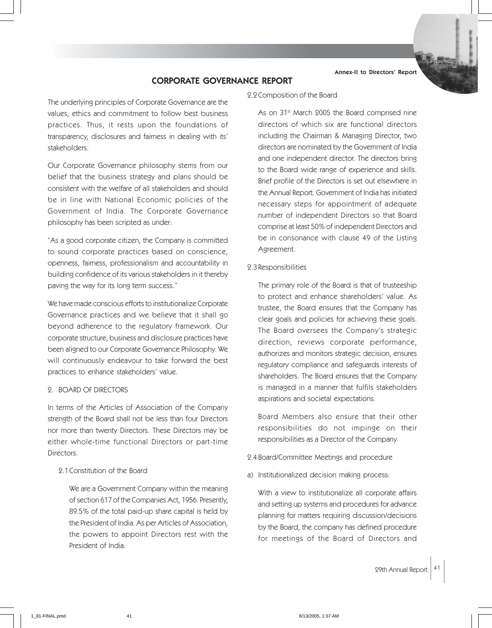Annex-II to Directors' Report

# CORPORATE GOVERNANCE REPORT

The underlying principles of Corporate Governance are the values, ethics and commitment to follow best business practices. Thus, it rests upon the foundations of transparency, disclosures and fairness in dealing with its' stakeholders.

Our Corporate Governance philosophy stems from our belief that the business strategy and plans should be consistent with the welfare of all stakeholders and should be in line with National Economic policies of the Government of India. The Corporate Governance philosophy has been scripted as under:

"As a good corporate citizen, the Company is committed to sound corporate practices based on conscience, openness, fairness, professionalism and accountability in building confidence of its various stakeholders in it thereby paving the way for its long term success."

We have made conscious efforts to institutionalize Corporate Governance practices and we believe that it shall go beyond adherence to the regulatory framework. Our corporate structure, business and disclosure practices have been aligned to our Corporate Governance Philosophy. We will continuously endeavour to take forward the best practices to enhance stakeholders' value.

### 2. BOARD OF DIRECTORS

In terms of the Articles of Association of the Company strength of the Board shall not be less than four Directors nor more than twenty Directors. These Directors may be either whole-time functional Directors or part-time Directors.

2.1 Constitution of the Board

We are a Government Company within the meaning of section 617 of the Companies Act, 1956. Presently, 89.5% of the total paid-up share capital is held by the President of India. As per Articles of Association, the powers to appoint Directors rest with the President of India.

### 2.2 Composition of the Board

As on 31<sup>st</sup> March 2005 the Board comprised nine directors of which six are functional directors including the Chairman & Managing Director, two directors are nominated by the Government of India and one independent director. The directors bring to the Board wide range of experience and skills. Brief profile of the Directors is set out elsewhere in the Annual Report. Government of India has initiated necessary steps for appointment of adequate number of independent Directors so that Board comprise at least 50% of independent Directors and be in consonance with clause 49 of the Listing Agreement.

2.3 Responsibilities

The primary role of the Board is that of trusteeship to protect and enhance shareholders' value. As trustee, the Board ensures that the Company has clear goals and policies for achieving these goals. The Board oversees the Company's strategic direction, reviews corporate performance, authorizes and monitors strategic decision, ensures regulatory compliance and safeguards interests of shareholders. The Board ensures that the Company is managed in a manner that fulfils stakeholders aspirations and societal expectations.

Board Members also ensure that their other responsibilities do not impinge on their responsibilities as a Director of the Company.

- 2.4 Board/Committee Meetings and procedure
- a) Institutionalized decision making process:

With a view to institutionalize all corporate affairs and setting up systems and procedures for advance planning for matters requiring discussion/decisions by the Board, the company has defined procedure for meetings of the Board of Directors and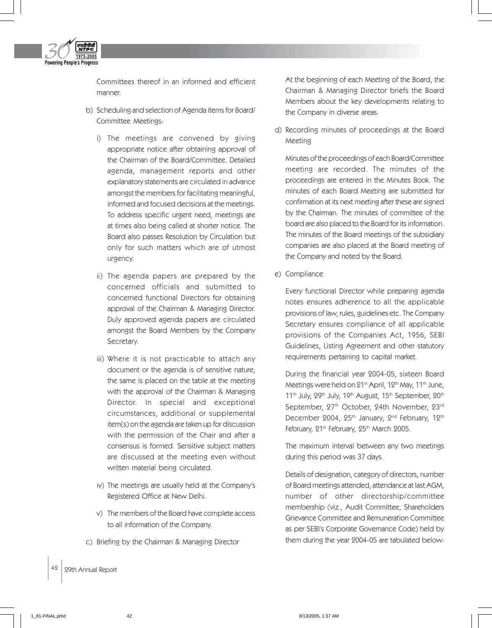

Committees thereof in an informed and efficient manner.

- b) Scheduling and selection of Agenda items for Board/ Committee Meetings:
	- i) The meetings are convened by giving appropriate notice after obtaining approval of the Chairman of the Board/Committee. Detailed agenda, management reports and other explanatory statements are circulated in advance amongst the members for facilitating meaningful, informed and focused decisions at the meetings. To address specific urgent need, meetings are at times also being called at shorter notice. The Board also passes Resolution by Circulation but only for such matters which are of utmost urgency.
	- ii) The agenda papers are prepared by the concerned officials and submitted to concerned functional Directors for obtaining approval of the Chairman & Managing Director. Duly approved agenda papers are circulated amongst the Board Members by the Company Secretary.
	- iii) Where it is not practicable to attach any document or the agenda is of sensitive nature, the same is placed on the table at the meeting with the approval of the Chairman & Managing Director. In special and exceptional circumstances, additional or supplemental item(s) on the agenda are taken up for discussion with the permission of the Chair and after a consensus is formed. Sensitive subject matters are discussed at the meeting even without written material being circulated.
	- iv) The meetings are usually held at the Company's Registered Office at New Delhi.
	- v) The members of the Board have complete access to all information of the Company.
- c) Briefing by the Chairman & Managing Director

At the beginning of each Meeting of the Board, the Chairman & Managing Director briefs the Board Members about the key developments relating to the Company in diverse areas.

d) Recording minutes of proceedings at the Board Meeting

Minutes of the proceedings of each Board/Committee meeting are recorded. The minutes of the proceedings are entered in the Minutes Book. The minutes of each Board Meeting are submitted for confirmation at its next meeting after these are signed by the Chairman. The minutes of committee of the board are also placed to the Board for its information. The minutes of the Board meetings of the subsidiary companies are also placed at the Board meeting of the Company and noted by the Board.

e) Compliance

Every functional Director while preparing agenda notes ensures adherence to all the applicable provisions of law, rules, guidelines etc. The Company Secretary ensures compliance of all applicable provisions of the Companies Act, 1956, SEBI Guidelines, Listing Agreement and other statutory requirements pertaining to capital market.

During the financial year 2004-05, sixteen Board Meetings were held on  $21^{st}$  April,  $12^{th}$  May,  $11^{th}$  June, 11<sup>th</sup> July, 29<sup>th</sup> July, 19<sup>th</sup> August, 15<sup>th</sup> September, 20<sup>th</sup> September, 27<sup>th</sup> October, 24th November, 23<sup>rd</sup> December 2004, 25<sup>th</sup> January, 2<sup>nd</sup> February, 12<sup>th</sup> February, 21st February, 25th March 2005.

The maximum interval between any two meetings during this period was 37 days.

Details of designation, category of directors, number of Board meetings attended, attendance at last AGM, number of other directorship/committee membership (viz., Audit Committee, Shareholders Grievance Committee and Remuneration Committee as per SEBI's Corporate Governance Code) held by them during the year 2004-05 are tabulated below: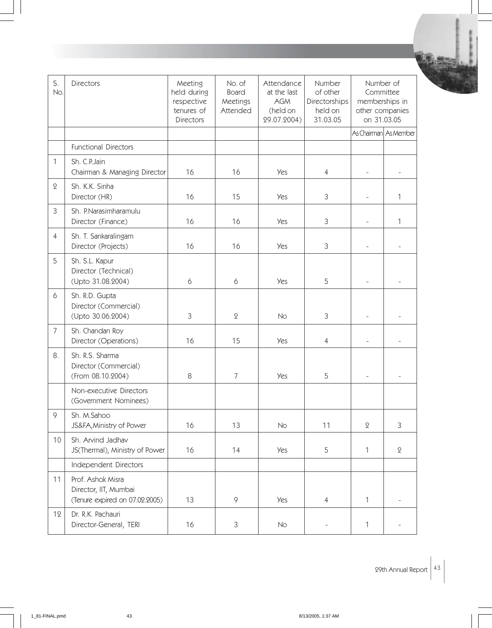| S.<br>No.      | Directors                                                                    | Meeting<br>held during<br>respective<br>tenures of<br><b>Directors</b> | No. of<br><b>Board</b><br>Meetings<br>Attended | Attendance<br>at the last<br><b>AGM</b><br>(held on<br>29.07.2004) | Number<br>of other<br>Directorships<br>held on<br>31.03.05 | Number of<br>Committee<br>memberships in<br>other companies<br>on 31.03.05 |                          |
|----------------|------------------------------------------------------------------------------|------------------------------------------------------------------------|------------------------------------------------|--------------------------------------------------------------------|------------------------------------------------------------|----------------------------------------------------------------------------|--------------------------|
|                |                                                                              |                                                                        |                                                |                                                                    |                                                            |                                                                            | As Chairman As Member    |
|                | <b>Functional Directors</b>                                                  |                                                                        |                                                |                                                                    |                                                            |                                                                            |                          |
| $\mathbf{1}$   | Sh. C.P. Jain<br>Chairman & Managing Director                                | 16                                                                     | 16                                             | <b>Yes</b>                                                         | $\overline{4}$                                             |                                                                            |                          |
| $\mathbf 2$    | Sh. K.K. Sinha<br>Director (HR)                                              | 16                                                                     | 15                                             | <b>Yes</b>                                                         | 3                                                          |                                                                            | 1                        |
| $\mathfrak{Z}$ | Sh. P.Narasimharamulu<br>Director (Finance)                                  | 16                                                                     | 16                                             | <b>Yes</b>                                                         | 3                                                          | $\overline{\phantom{a}}$                                                   | 1                        |
| $\overline{4}$ | Sh. T. Sankaralingam<br>Director (Projects)                                  | 16                                                                     | 16                                             | <b>Yes</b>                                                         | 3                                                          |                                                                            |                          |
| 5              | Sh. S.L. Kapur<br>Director (Technical)<br>(Upto 31.08.2004)                  | 6                                                                      | 6                                              | <b>Yes</b>                                                         | 5                                                          |                                                                            |                          |
| 6              | Sh. R.D. Gupta<br>Director (Commercial)<br>(Upto 30.06.2004)                 | $\mathfrak{Z}$                                                         | $\mathbf 2$                                    | No                                                                 | 3                                                          |                                                                            |                          |
| $\overline{7}$ | Sh. Chandan Roy<br>Director (Operations)                                     | 16                                                                     | 15                                             | <b>Yes</b>                                                         | $\overline{4}$                                             |                                                                            |                          |
| 8.             | Sh. R.S. Sharma<br>Director (Commercial)<br>(From 08.10.2004)                | 8                                                                      | $\overline{7}$                                 | <b>Yes</b>                                                         | 5                                                          |                                                                            | $\overline{a}$           |
|                | Non-executive Directors<br>(Government Nominees)                             |                                                                        |                                                |                                                                    |                                                            |                                                                            |                          |
| 9              | Sh. M.Sahoo<br>JS&FA, Ministry of Power                                      | 16                                                                     | 13                                             | No                                                                 | 11                                                         | $\mathbf 2$                                                                | 3                        |
| 10             | Sh. Arvind Jadhav<br>JS(Thermal), Ministry of Power                          | 16                                                                     | 14                                             | Yes                                                                | 5                                                          | 1                                                                          | $\mathbf 2$              |
|                | Independent Directors                                                        |                                                                        |                                                |                                                                    |                                                            |                                                                            |                          |
| 11             | Prof. Ashok Misra<br>Director, IIT, Mumbai<br>(Tenure expired on 07.02.2005) | 13                                                                     | $\mathsf{Q}$                                   | <b>Yes</b>                                                         | $\overline{4}$                                             | 1                                                                          | $\overline{\phantom{a}}$ |
| 12             | Dr. R.K. Pachauri<br>Director-General, TERI                                  | 16                                                                     | 3                                              | No                                                                 | $\overline{a}$                                             | 1                                                                          |                          |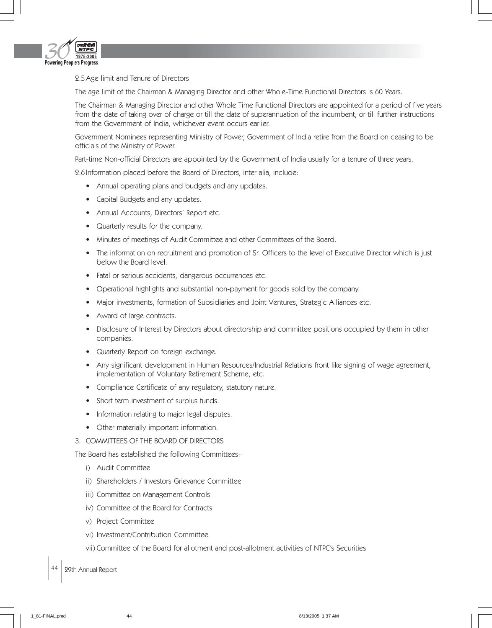

2.5 Age limit and Tenure of Directors

The age limit of the Chairman & Managing Director and other Whole-Time Functional Directors is 60 Years.

The Chairman & Managing Director and other Whole Time Functional Directors are appointed for a period of five years from the date of taking over of charge or till the date of superannuation of the incumbent, or till further instructions from the Government of India, whichever event occurs earlier.

Government Nominees representing Ministry of Power, Government of India retire from the Board on ceasing to be officials of the Ministry of Power.

Part-time Non-official Directors are appointed by the Government of India usually for a tenure of three years.

2.6 Information placed before the Board of Directors, inter alia, include:

- Annual operating plans and budgets and any updates.
- Capital Budgets and any updates.
- Annual Accounts, Directors' Report etc.
- Quarterly results for the company.
- Minutes of meetings of Audit Committee and other Committees of the Board.
- The information on recruitment and promotion of Sr. Officers to the level of Executive Director which is just below the Board level.
- Fatal or serious accidents, dangerous occurrences etc.
- Operational highlights and substantial non-payment for goods sold by the company.
- Major investments, formation of Subsidiaries and Joint Ventures, Strategic Alliances etc.
- Award of large contracts.
- Disclosure of Interest by Directors about directorship and committee positions occupied by them in other companies.
- Quarterly Report on foreign exchange.
- Any significant development in Human Resources/Industrial Relations front like signing of wage agreement, implementation of Voluntary Retirement Scheme, etc.
- Compliance Certificate of any regulatory, statutory nature.
- Short term investment of surplus funds.
- Information relating to major legal disputes.
- Other materially important information.
- 3. COMMITTEES OF THE BOARD OF DIRECTORS

The Board has established the following Committees:-

- i) Audit Committee
- ii) Shareholders / Investors Grievance Committee
- iii) Committee on Management Controls
- iv) Committee of the Board for Contracts
- v) Project Committee
- vi) Investment/Contribution Committee
- vii) Committee of the Board for allotment and post-allotment activities of NTPC's Securities
- 44 | 29th Annual Report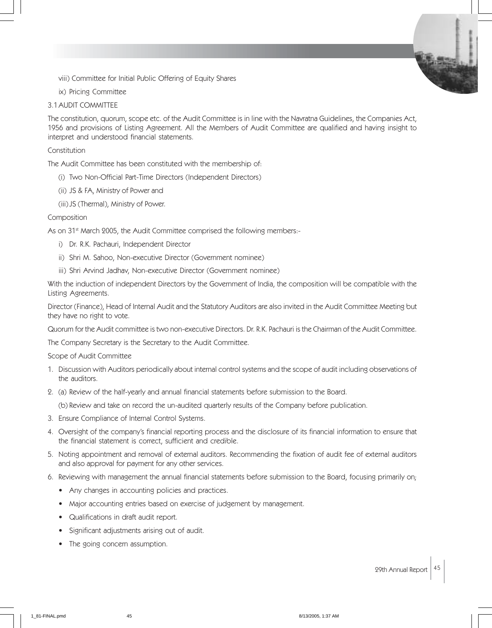viii) Committee for Initial Public Offering of Equity Shares

ix) Pricing Committee

### 3.1 AUDIT COMMITTEE

The constitution, quorum, scope etc. of the Audit Committee is in line with the Navratna Guidelines, the Companies Act, 1956 and provisions of Listing Agreement. All the Members of Audit Committee are qualified and having insight to interpret and understood financial statements.

#### Constitution

The Audit Committee has been constituted with the membership of:

- (i) Two Non-Official Part-Time Directors (Independent Directors)
- (ii) JS & FA, Ministry of Power and
- (iii) JS (Thermal), Ministry of Power.

### Composition

As on 31<sup>st</sup> March 2005, the Audit Committee comprised the following members:-

- i) Dr. R.K. Pachauri, Independent Director
- ii) Shri M. Sahoo, Non-executive Director (Government nominee)
- iii) Shri Arvind Jadhav, Non-executive Director (Government nominee)

With the induction of independent Directors by the Government of India, the composition will be compatible with the Listing Agreements.

Director (Finance), Head of Internal Audit and the Statutory Auditors are also invited in the Audit Committee Meeting but they have no right to vote.

Quorum for the Audit committee is two non-executive Directors. Dr. R.K. Pachauri is the Chairman of the Audit Committee.

The Company Secretary is the Secretary to the Audit Committee.

Scope of Audit Committee

- 1. Discussion with Auditors periodically about internal control systems and the scope of audit including observations of the auditors.
- 2. (a) Review of the half-yearly and annual financial statements before submission to the Board.

(b) Review and take on record the un-audited quarterly results of the Company before publication.

- 3. Ensure Compliance of Internal Control Systems.
- 4. Oversight of the company's financial reporting process and the disclosure of its financial information to ensure that the financial statement is correct, sufficient and credible.
- 5. Noting appointment and removal of external auditors. Recommending the fixation of audit fee of external auditors and also approval for payment for any other services.
- 6. Reviewing with management the annual financial statements before submission to the Board, focusing primarily on;
	- Any changes in accounting policies and practices.
	- Major accounting entries based on exercise of judgement by management.
	- Qualifications in draft audit report.
	- Significant adjustments arising out of audit.
	- The going concern assumption.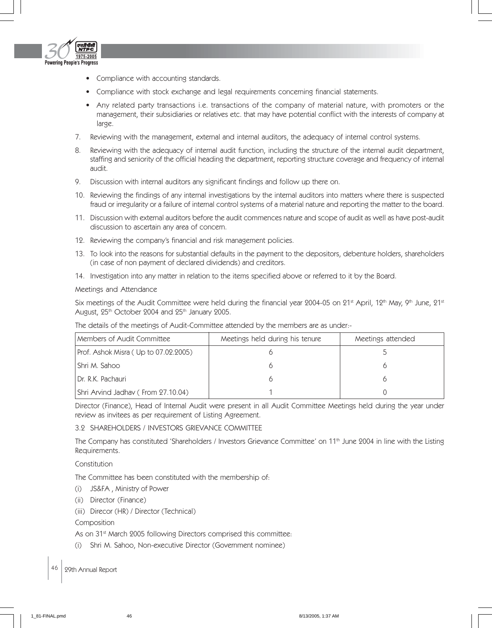

- Compliance with accounting standards.
- Compliance with stock exchange and legal requirements concerning financial statements.
- Any related party transactions i.e. transactions of the company of material nature, with promoters or the management, their subsidiaries or relatives etc. that may have potential conflict with the interests of company at large.
- 7. Reviewing with the management, external and internal auditors, the adequacy of internal control systems.
- 8. Reviewing with the adequacy of internal audit function, including the structure of the internal audit department, staffing and seniority of the official heading the department, reporting structure coverage and frequency of internal audit.
- 9. Discussion with internal auditors any significant findings and follow up there on.
- 10. Reviewing the findings of any internal investigations by the internal auditors into matters where there is suspected fraud or irregularity or a failure of internal control systems of a material nature and reporting the matter to the board.
- 11. Discussion with external auditors before the audit commences nature and scope of audit as well as have post-audit discussion to ascertain any area of concern.
- 12. Reviewing the company's financial and risk management policies.
- 13. To look into the reasons for substantial defaults in the payment to the depositors, debenture holders, shareholders (in case of non payment of declared dividends) and creditors.
- 14. Investigation into any matter in relation to the items specified above or referred to it by the Board.

Meetings and Attendance

Six meetings of the Audit Committee were held during the financial year 2004-05 on 21st April, 12<sup>th</sup> May, 9<sup>th</sup> June, 21st August, 25<sup>th</sup> October 2004 and 25<sup>th</sup> January 2005.

| Members of Audit Committee           | Meetings held during his tenure | Meetings attended |
|--------------------------------------|---------------------------------|-------------------|
| Prof. Ashok Misra (Up to 07.02.2005) |                                 |                   |
| l Shri M. Sahoo                      |                                 |                   |
| Dr. R.K. Pachauri                    |                                 |                   |
| Shri Arvind Jadhav (From 27.10.04)   |                                 |                   |

The details of the meetings of Audit-Committee attended by the members are as under:-

Director (Finance), Head of Internal Audit were present in all Audit Committee Meetings held during the year under review as invitees as per requirement of Listing Agreement.

# 3.2 SHAREHOLDERS / INVESTORS GRIEVANCE COMMITTEE

The Company has constituted 'Shareholders / Investors Grievance Committee' on 11<sup>th</sup> June 2004 in line with the Listing Requirements.

Constitution

The Committee has been constituted with the membership of:

- (i) JS&FA , Ministry of Power
- (ii) Director (Finance)
- (iii) Direcor (HR) / Director (Technical)

Composition

As on 31<sup>st</sup> March 2005 following Directors comprised this committee:

(i) Shri M. Sahoo, Non-executive Director (Government nominee)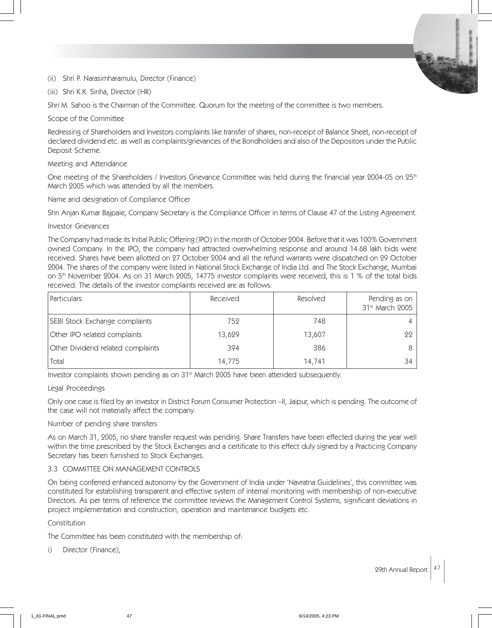(ii) Shri P. Narasimharamulu, Director (Finance)

(iii) Shri K.K. Sinha, Director (HR)

Shri M. Sahoo is the Chairman of the Committee. Quorum for the meeting of the committee is two members.

Scope of the Committee

Redressing of Shareholders and Investors complaints like transfer of shares, non-receipt of Balance Sheet, non-receipt of declared dividend etc. as well as complaints/grievances of the Bondholders and also of the Depositors under the Public Deposit Scheme.

### Meeting and Attendance

One meeting of the Shareholders / Investors Grievance Committee was held during the financial year 2004-05 on 25<sup>th</sup> March 2005 which was attended by all the members.

Name and designation of Compliance Officer

Shri Anjan Kumar Bajpaie, Company Secretary is the Compliance Officer in terms of Clause 47 of the Listing Agreement.

### Investor Grievances

The Company had made its Initial Public Offering (IPO) in the month of October 2004. Before that it was 100% Government owned Company. In the IPO, the company had attracted overwhelming response and around 14.68 lakh bids were received. Shares have been allotted on 27 October 2004 and all the refund warrants were dispatched on 29 October 2004. The shares of the company were listed in National Stock Exchange of India Ltd. and The Stock Exchange, Mumbai on 5<sup>th</sup> November 2004. As on 31 March 2005, 14775 investor complaints were received, this is 1 % of the total bids received. The details of the investor complaints received are as follows:

| l Particulars                     | Received | Resolved | Pending as on<br>31st March 2005 |
|-----------------------------------|----------|----------|----------------------------------|
| SEBI Stock Exchange complaints    | 752      | 748      |                                  |
| Other IPO related complaints      | 13,629   | 13,607   | 99.                              |
| Other Dividend related complaints | 394      | 386      |                                  |
| Total                             | 14,775   | 14,741   | 34                               |

Investor complaints shown pending as on 31<sup>st</sup> March 2005 have been attended subsequently.

### Legal Proceedings

Only one case is filed by an investor in District Forum Consumer Protection –II, Jaipur, which is pending. The outcome of the case will not materially affect the company.

# Number of pending share transfers

As on March 31, 2005, no share transfer request was pending. Share Transfers have been effected during the year well within the time prescribed by the Stock Exchanges and a certificate to this effect duly signed by a Practicing Company Secretary has been furnished to Stock Exchanges.

# 3.3 COMMITTEE ON MANAGEMENT CONTROLS

On being conferred enhanced autonomy by the Government of India under 'Navratna Guidelines', this committee was constituted for establishing transparent and effective system of internal monitoring with membership of non-executive Directors. As per terms of reference the committee reviews the Management Control Systems, significant deviations in project implementation and construction, operation and maintenance budgets etc.

### Constitution

The Committee has been constituted with the membership of:

i) Director (Finance),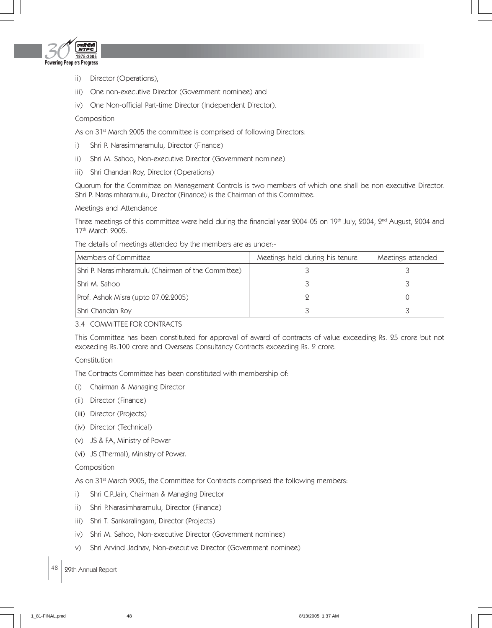

- ii) Director (Operations),
- iii) One non-executive Director (Government nominee) and
- iv) One Non-official Part-time Director (Independent Director).

### Composition

As on 31<sup>st</sup> March 2005 the committee is comprised of following Directors:

- i) Shri P. Narasimharamulu, Director (Finance)
- ii) Shri M. Sahoo, Non-executive Director (Government nominee)
- iii) Shri Chandan Roy, Director (Operations)

Quorum for the Committee on Management Controls is two members of which one shall be non-executive Director. Shri P. Narasimharamulu, Director (Finance) is the Chairman of this Committee.

Meetings and Attendance

Three meetings of this committee were held during the financial year 2004-05 on 19<sup>th</sup> July, 2004, 2<sup>nd</sup> August, 2004 and 17<sup>th</sup> March 2005.

The details of meetings attended by the members are as under:-

| Members of Committee                                | Meetings held during his tenure | Meetings attended |
|-----------------------------------------------------|---------------------------------|-------------------|
| Shri P. Narasimharamulu (Chairman of the Committee) |                                 |                   |
| l Shri M. Sahoo                                     |                                 |                   |
| Prof. Ashok Misra (upto 07.02.2005)                 |                                 |                   |
| Shri Chandan Roy                                    |                                 |                   |

### 3.4 COMMITTEE FOR CONTRACTS

This Committee has been constituted for approval of award of contracts of value exceeding Rs. 25 crore but not exceeding Rs.100 crore and Overseas Consultancy Contracts exceeding Rs. 2 crore.

# Constitution

The Contracts Committee has been constituted with membership of:

- (i) Chairman & Managing Director
- (ii) Director (Finance)
- (iii) Director (Projects)
- (iv) Director (Technical)
- (v) JS & FA, Ministry of Power
- (vi) JS (Thermal), Ministry of Power.

### Composition

As on 31<sup>st</sup> March 2005, the Committee for Contracts comprised the following members:

- i) Shri C.P.Jain, Chairman & Managing Director
- ii) Shri P.Narasimharamulu, Director (Finance)
- iii) Shri T. Sankaralingam, Director (Projects)
- iv) Shri M. Sahoo, Non-executive Director (Government nominee)
- v) Shri Arvind Jadhav, Non-executive Director (Government nominee)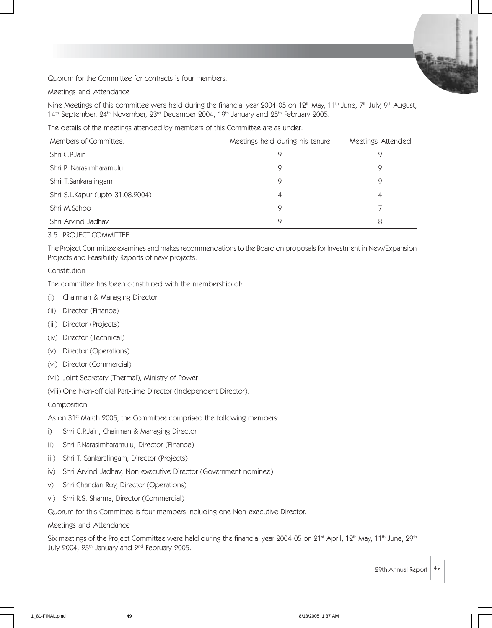Quorum for the Committee for contracts is four members.

Meetings and Attendance

Nine Meetings of this committee were held during the financial year 2004-05 on 12<sup>th</sup> May, 11<sup>th</sup> June, 7<sup>th</sup> July, 9<sup>th</sup> August, 14th September, 24th November, 23rd December 2004, 19th January and 25th February 2005.

The details of the meetings attended by members of this Committee are as under:

| Members of Committee.            | Meetings held during his tenure | Meetings Attended |
|----------------------------------|---------------------------------|-------------------|
| l Shri C.P.Jain                  |                                 |                   |
| Shri P. Narasimharamulu          |                                 |                   |
| Shri T.Sankaralingam             |                                 |                   |
| Shri S.L.Kapur (upto 31.08.2004) |                                 |                   |
| Shri M.Sahoo                     |                                 |                   |
| Shri Arvind Jadhav               |                                 | 8                 |

## 3.5 PROJECT COMMITTEE

The Project Committee examines and makes recommendations to the Board on proposals for Investment in New/Expansion Projects and Feasibility Reports of new projects.

# Constitution

The committee has been constituted with the membership of:

- (i) Chairman & Managing Director
- (ii) Director (Finance)
- (iii) Director (Projects)
- (iv) Director (Technical)
- (v) Director (Operations)
- (vi) Director (Commercial)
- (vii) Joint Secretary (Thermal), Ministry of Power

(viii) One Non-official Part-time Director (Independent Director).

### Composition

As on 31<sup>st</sup> March 2005, the Committee comprised the following members:

- i) Shri C.P.Jain, Chairman & Managing Director
- ii) Shri P.Narasimharamulu, Director (Finance)
- iii) Shri T. Sankaralingam, Director (Projects)
- iv) Shri Arvind Jadhav, Non-executive Director (Government nominee)
- v) Shri Chandan Roy, Director (Operations)
- vi) Shri R.S. Sharma, Director (Commercial)

Quorum for this Committee is four members including one Non-executive Director.

### Meetings and Attendance

Six meetings of the Project Committee were held during the financial year 2004-05 on 21<sup>st</sup> April, 12<sup>th</sup> May, 11<sup>th</sup> June, 29<sup>th</sup> July 2004, 25<sup>th</sup> January and 2<sup>nd</sup> February 2005.

29th Annual Report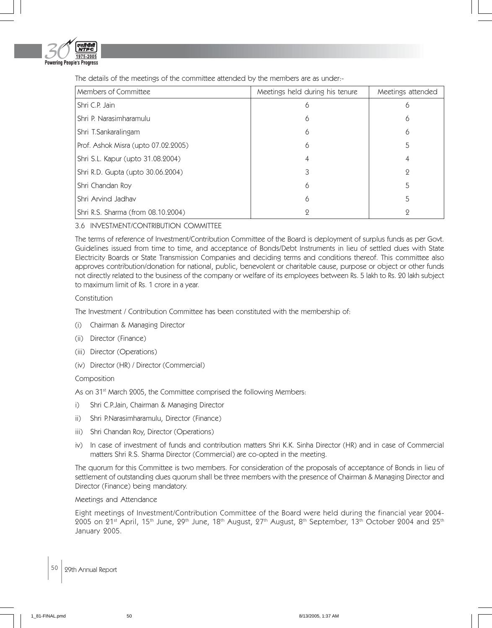

The details of the meetings of the committee attended by the members are as under:-

| Members of Committee                | Meetings held during his tenure | Meetings attended |
|-------------------------------------|---------------------------------|-------------------|
| Shri C.P. Jain                      | 6                               | 6                 |
| Shri P. Narasimharamulu             | 6                               | 6                 |
| Shri T.Sankaralingam                | Ô                               | 6                 |
| Prof. Ashok Misra (upto 07.02.2005) | 6                               | 5                 |
| Shri S.L. Kapur (upto 31.08.2004)   |                                 | 4                 |
| Shri R.D. Gupta (upto 30.06.2004)   |                                 | 9                 |
| Shri Chandan Roy                    | 6                               | 5                 |
| Shri Arvind Jadhav                  | 6                               | 5                 |
| Shri R.S. Sharma (from 08.10.2004)  |                                 | 9                 |

# 3.6 INVESTMENT/CONTRIBUTION COMMITTEE

The terms of reference of Investment/Contribution Committee of the Board is deployment of surplus funds as per Govt. Guidelines issued from time to time, and acceptance of Bonds/Debt Instruments in lieu of settled dues with State Electricity Boards or State Transmission Companies and deciding terms and conditions thereof. This committee also approves contribution/donation for national, public, benevolent or charitable cause, purpose or object or other funds not directly related to the business of the company or welfare of its employees between Rs. 5 lakh to Rs. 20 lakh subject to maximum limit of Rs. 1 crore in a year.

### Constitution

The Investment / Contribution Committee has been constituted with the membership of:

- (i) Chairman & Managing Director
- (ii) Director (Finance)
- (iii) Director (Operations)
- (iv) Director (HR) / Director (Commercial)

### Composition

As on 31<sup>st</sup> March 2005, the Committee comprised the following Members:

- i) Shri C.P.Jain, Chairman & Managing Director
- ii) Shri P.Narasimharamulu, Director (Finance)
- iii) Shri Chandan Roy, Director (Operations)
- iv) In case of investment of funds and contribution matters Shri K.K. Sinha Director (HR) and in case of Commercial matters Shri R.S. Sharma Director (Commercial) are co-opted in the meeting.

The quorum for this Committee is two members. For consideration of the proposals of acceptance of Bonds in lieu of settlement of outstanding dues quorum shall be three members with the presence of Chairman & Managing Director and Director (Finance) being mandatory.

### Meetings and Attendance

Eight meetings of Investment/Contribution Committee of the Board were held during the financial year 2004- 2005 on 21<sup>st</sup> April, 15<sup>th</sup> June, 29<sup>th</sup> June, 18<sup>th</sup> August, 27<sup>th</sup> August, 8<sup>th</sup> September, 13<sup>th</sup> October 2004 and 25<sup>th</sup> January 2005.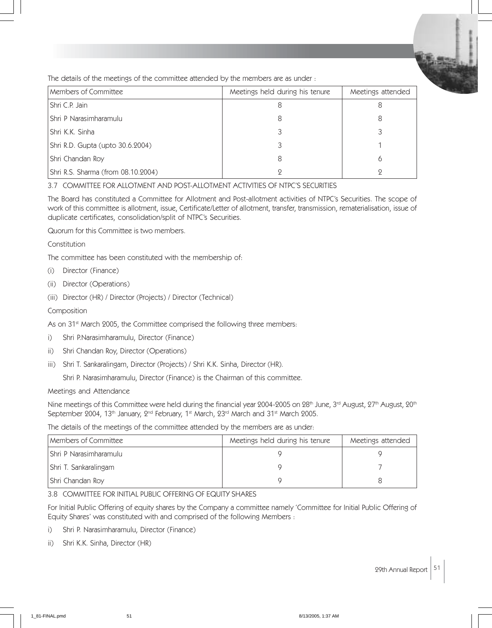The details of the meetings of the committee attended by the members are as under :

| Members of Committee               | Meetings held during his tenure | Meetings attended |
|------------------------------------|---------------------------------|-------------------|
| Shri C.P. Jain                     |                                 | 8                 |
| Shri P Narasimharamulu             |                                 | 8                 |
| l Shri K.K. Sinha                  |                                 |                   |
| Shri R.D. Gupta (upto 30.6.2004)   |                                 |                   |
| Shri Chandan Roy                   |                                 |                   |
| Shri R.S. Sharma (from 08.10.2004) |                                 |                   |

3.7 COMMITTEE FOR ALLOTMENT AND POST-ALLOTMENT ACTIVITIES OF NTPC'S SECURITIES

The Board has constituted a Committee for Allotment and Post-allotment activities of NTPC's Securities. The scope of work of this committee is allotment, issue, Certificate/Letter of allotment, transfer, transmission, rematerialisation, issue of duplicate certificates, consolidation/split of NTPC's Securities.

Quorum for this Committee is two members.

Constitution

The committee has been constituted with the membership of:

- (i) Director (Finance)
- (ii) Director (Operations)
- (iii) Director (HR) / Director (Projects) / Director (Technical)

Composition

As on 31<sup>st</sup> March 2005, the Committee comprised the following three members:

- i) Shri P.Narasimharamulu, Director (Finance)
- ii) Shri Chandan Roy, Director (Operations)
- iii) Shri T. Sankaralingam, Director (Projects) / Shri K.K. Sinha, Director (HR).

Shri P. Narasimharamulu, Director (Finance) is the Chairman of this committee.

Meetings and Attendance

Nine meetings of this Committee were held during the financial year 2004-2005 on 28<sup>th</sup> June, 3<sup>rd</sup> August, 27<sup>th</sup> August, 20<sup>th</sup> September 2004, 13<sup>th</sup> January, 2<sup>nd</sup> February, 1<sup>st</sup> March, 23<sup>rd</sup> March and 31<sup>st</sup> March 2005.

The details of the meetings of the committee attended by the members are as under:

| Members of Committee          | Meetings held during his tenure | Meetings attended |
|-------------------------------|---------------------------------|-------------------|
| <b>Shri P Narasimharamulu</b> |                                 |                   |
| Shri T. Sankaralingam         |                                 |                   |
| Shri Chandan Roy              |                                 |                   |

3.8 COMMITTEE FOR INITIAL PUBLIC OFFERING OF EQUITY SHARES

For Initial Public Offering of equity shares by the Company a committee namely 'Committee for Initial Public Offering of Equity Shares' was constituted with and comprised of the following Members :

- i) Shri P. Narasimharamulu, Director (Finance)
- ii) Shri K.K. Sinha, Director (HR)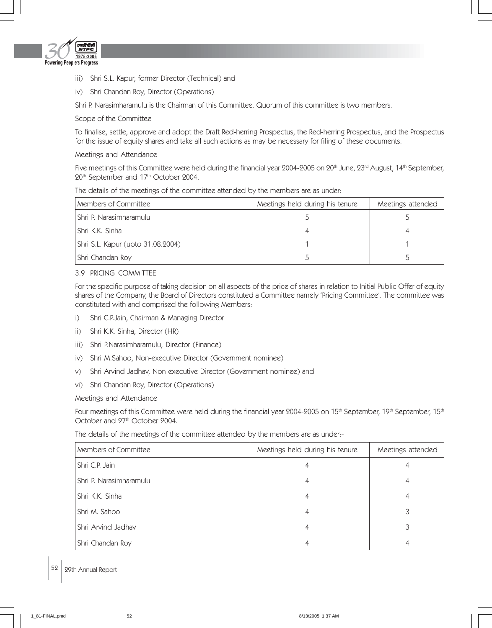

- iii) Shri S.L. Kapur, former Director (Technical) and
- iv) Shri Chandan Roy, Director (Operations)

Shri P. Narasimharamulu is the Chairman of this Committee. Quorum of this committee is two members.

## Scope of the Committee

To finalise, settle, approve and adopt the Draft Red-herring Prospectus, the Red-herring Prospectus, and the Prospectus for the issue of equity shares and take all such actions as may be necessary for filing of these documents.

# Meetings and Attendance

Five meetings of this Committee were held during the financial year 2004-2005 on 20<sup>th</sup> June, 23<sup>rd</sup> August, 14<sup>th</sup> September, 20<sup>th</sup> September and 17<sup>th</sup> October 2004.

The details of the meetings of the committee attended by the members are as under:

| Members of Committee              | Meetings held during his tenure | Meetings attended |
|-----------------------------------|---------------------------------|-------------------|
| l Shri P. Narasimharamulu         |                                 |                   |
| l Shri K.K. Sinha                 |                                 |                   |
| Shri S.L. Kapur (upto 31.08.2004) |                                 |                   |
| Shri Chandan Roy                  |                                 |                   |

# 3.9 PRICING COMMITTEE

For the specific purpose of taking decision on all aspects of the price of shares in relation to Initial Public Offer of equity shares of the Company, the Board of Directors constituted a Committee namely 'Pricing Committee'. The committee was constituted with and comprised the following Members:

- i) Shri C.P.Jain, Chairman & Managing Director
- ii) Shri K.K. Sinha, Director (HR)
- iii) Shri P.Narasimharamulu, Director (Finance)
- iv) Shri M.Sahoo, Non-executive Director (Government nominee)
- v) Shri Arvind Jadhav, Non-executive Director (Government nominee) and
- vi) Shri Chandan Roy, Director (Operations)

# Meetings and Attendance

Four meetings of this Committee were held during the financial year 2004-2005 on 15<sup>th</sup> September, 19<sup>th</sup> September, 15<sup>th</sup> October and 27th October 2004.

The details of the meetings of the committee attended by the members are as under:-

| Members of Committee    | Meetings held during his tenure | Meetings attended |
|-------------------------|---------------------------------|-------------------|
| Shri C.P. Jain          |                                 |                   |
| Shri P. Narasimharamulu |                                 |                   |
| Shri K.K. Sinha         | 4                               | 4                 |
| Shri M. Sahoo           |                                 | 3                 |
| Shri Arvind Jadhav      | 4                               | 3                 |
| Shri Chandan Roy        | 4                               | 4                 |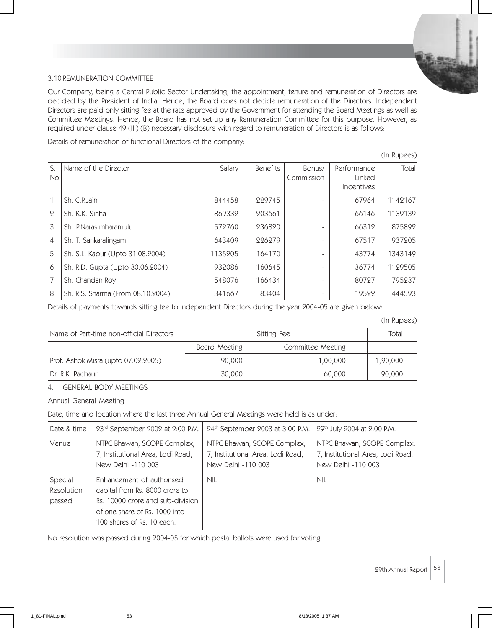

# 3.10 REMUNERATION COMMITTEE

Our Company, being a Central Public Sector Undertaking, the appointment, tenure and remuneration of Directors are decided by the President of India. Hence, the Board does not decide remuneration of the Directors. Independent Directors are paid only sitting fee at the rate approved by the Government for attending the Board Meetings as well as Committee Meetings. Hence, the Board has not set-up any Remuneration Committee for this purpose. However, as required under clause 49 (III) (B) necessary disclosure with regard to remuneration of Directors is as follows:

Details of remuneration of functional Directors of the company:

|                |                                   |         |                 |                      |                                                          | (In Rupees) |
|----------------|-----------------------------------|---------|-----------------|----------------------|----------------------------------------------------------|-------------|
| S.<br>No.      | Name of the Director              | Salary  | <b>Benefits</b> | Bonus/<br>Commission | Performance<br>Linked<br><i><u><b>Incentives</b></u></i> | Total       |
|                | Sh. C.P. Jain                     | 844458  | 229745          |                      | 67964                                                    | 1142167     |
| $\overline{2}$ | Sh. K.K. Sinha                    | 869332  | 203661          |                      | 66146                                                    | 1139139     |
| 3              | Sh. P.Narasimharamulu             | 572760  | 236820          |                      | 66312                                                    | 875892      |
| 4              | Sh. T. Sankaralingam              | 643409  | 226279          |                      | 67517                                                    | 937205      |
| 5              | Sh. S.L. Kapur (Upto 31.08.2004)  | 1135205 | 164170          |                      | 43774                                                    | 1343149     |
| 6              | Sh. R.D. Gupta (Upto 30.06.2004)  | 932086  | 160645          |                      | 36774                                                    | 1129505     |
| 7              | Sh. Chandan Roy                   | 548076  | 166434          |                      | 80727                                                    | 795237      |
| 8              | Sh. R.S. Sharma (From 08.10.2004) | 341667  | 83404           |                      | 19522                                                    | 444593      |

Details of payments towards sitting fee to Independent Directors during the year 2004-05 are given below:

(In Rupees)

|                                          |               |                   | $\cdots \cdots \cdots \sim \sim \sim \sim$ |
|------------------------------------------|---------------|-------------------|--------------------------------------------|
| Name of Part-time non-official Directors | Sitting Fee   |                   | Total                                      |
|                                          | Board Meeting | Committee Meeting |                                            |
| Prof. Ashok Misra (upto 07.02.2005)      | 90,000        | 1,00,000          | 1,90,000                                   |
| Dr. R.K. Pachauri                        | 30,000        | 60,000            | 90,000                                     |

# 4. GENERAL BODY MEETINGS

Annual General Meeting

# Date, time and location where the last three Annual General Meetings were held is as under:

| Date & time                            | 23rd September 2002 at 2:00 P.M.                                                                                                                               | 24th September 2003 at 3:00 P.M.                                                       | 29th July 2004 at 2.00 P.M.                                                            |
|----------------------------------------|----------------------------------------------------------------------------------------------------------------------------------------------------------------|----------------------------------------------------------------------------------------|----------------------------------------------------------------------------------------|
| Venue                                  | NTPC Bhawan, SCOPE Complex,<br>7, Institutional Area, Lodi Road,<br>New Delhi -110 003                                                                         | NTPC Bhawan, SCOPE Complex,<br>7, Institutional Area, Lodi Road,<br>New Delhi -110 003 | NTPC Bhawan, SCOPE Complex,<br>7, Institutional Area, Lodi Road,<br>New Delhi -110 003 |
| Special<br><b>Resolution</b><br>passed | Enhancement of authorised<br>capital from Rs. 8000 crore to<br>Rs. 10000 crore and sub-division<br>of one share of Rs. 1000 into<br>100 shares of Rs. 10 each. | <b>NIL</b>                                                                             | <b>NIL</b>                                                                             |

No resolution was passed during 2004-05 for which postal ballots were used for voting.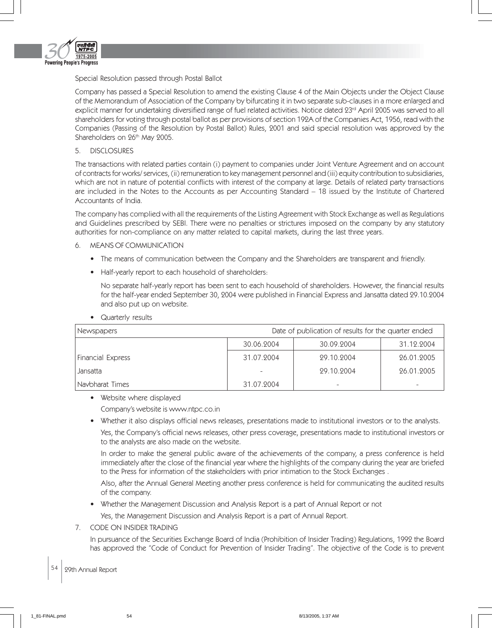

## Special Resolution passed through Postal Ballot

Company has passed a Special Resolution to amend the existing Clause 4 of the Main Objects under the Object Clause of the Memorandum of Association of the Company by bifurcating it in two separate sub-clauses in a more enlarged and explicit manner for undertaking diversified range of fuel related activities. Notice dated 23rd April 2005 was served to all shareholders for voting through postal ballot as per provisions of section 192A of the Companies Act, 1956, read with the Companies (Passing of the Resolution by Postal Ballot) Rules, 2001 and said special resolution was approved by the Shareholders on 26<sup>th</sup> May 2005.

## 5. DISCLOSURES

The transactions with related parties contain (i) payment to companies under Joint Venture Agreement and on account of contracts for works/ services, (ii) remuneration to key management personnel and (iii) equity contribution to subsidiaries, which are not in nature of potential conflicts with interest of the company at large. Details of related party transactions are included in the Notes to the Accounts as per Accounting Standard – 18 issued by the Institute of Chartered Accountants of India.

The company has complied with all the requirements of the Listing Agreement with Stock Exchange as well as Regulations and Guidelines prescribed by SEBI. There were no penalties or strictures imposed on the company by any statutory authorities for non-compliance on any matter related to capital markets, during the last three years.

- 6. MEANS OF COMMUNICATION
	- The means of communication between the Company and the Shareholders are transparent and friendly.
	- Half-yearly report to each household of shareholders:

No separate half-yearly report has been sent to each household of shareholders. However, the financial results for the half-year ended September 30, 2004 were published in Financial Express and Jansatta dated 29.10.2004 and also put up on website.

Quarterly results

| Newspapers        | Date of publication of results for the quarter ended |            |            |  |
|-------------------|------------------------------------------------------|------------|------------|--|
| 30.06.2004        |                                                      | 30.09.2004 | 31.12.2004 |  |
| Financial Express | 31.07.2004                                           | 29.10.2004 | 26.01.2005 |  |
| Jansatta          |                                                      | 29.10.2004 | 26.01.2005 |  |
| Navbharat Times   | 31.07.2004                                           |            |            |  |

• Website where displayed

Company's website is www.ntpc.co.in

• Whether it also displays official news releases, presentations made to institutional investors or to the analysts.

Yes, the Company's official news releases, other press coverage, presentations made to institutional investors or to the analysts are also made on the website.

In order to make the general public aware of the achievements of the company, a press conference is held immediately after the close of the financial year where the highlights of the company during the year are briefed to the Press for information of the stakeholders with prior intimation to the Stock Exchanges .

Also, after the Annual General Meeting another press conference is held for communicating the audited results of the company.

• Whether the Management Discussion and Analysis Report is a part of Annual Report or not

Yes, the Management Discussion and Analysis Report is a part of Annual Report.

# 7. CODE ON INSIDER TRADING

In pursuance of the Securities Exchange Board of India (Prohibition of Insider Trading) Regulations, 1992 the Board has approved the "Code of Conduct for Prevention of Insider Trading". The objective of the Code is to prevent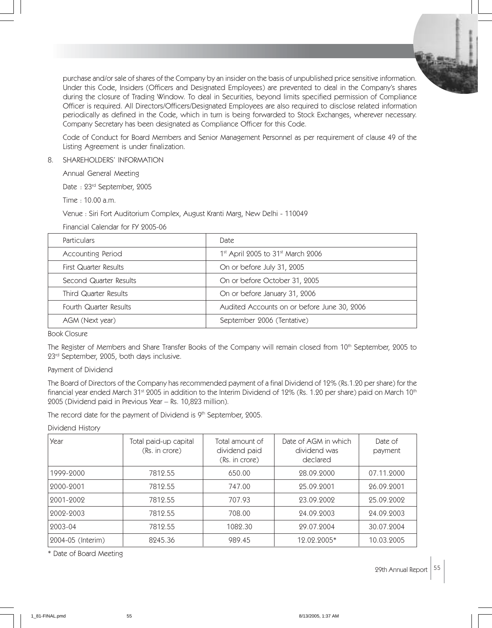

purchase and/or sale of shares of the Company by an insider on the basis of unpublished price sensitive information. Under this Code, Insiders (Officers and Designated Employees) are prevented to deal in the Company's shares during the closure of Trading Window. To deal in Securities, beyond limits specified permission of Compliance Officer is required. All Directors/Officers/Designated Employees are also required to disclose related information periodically as defined in the Code, which in turn is being forwarded to Stock Exchanges, wherever necessary. Company Secretary has been designated as Compliance Officer for this Code.

Code of Conduct for Board Members and Senior Management Personnel as per requirement of clause 49 of the Listing Agreement is under finalization.

8. SHAREHOLDERS' INFORMATION

Annual General Meeting

Date : 23rd September, 2005

Time : 10.00 a.m.

Venue : Siri Fort Auditorium Complex, August Kranti Marg, New Delhi - 110049

Financial Calendar for FY 2005-06

| <b>Particulars</b>     | Date                                                      |  |
|------------------------|-----------------------------------------------------------|--|
| Accounting Period      | 1 <sup>st</sup> April 2005 to 31 <sup>st</sup> March 2006 |  |
| First Quarter Results  | On or before July 31, 2005                                |  |
| Second Quarter Results | On or before October 31, 2005                             |  |
| Third Quarter Results  | On or before January 31, 2006                             |  |
| Fourth Quarter Results | Audited Accounts on or before June 30, 2006               |  |
| AGM (Next year)        | September 2006 (Tentative)                                |  |

Book Closure

The Register of Members and Share Transfer Books of the Company will remain closed from 10<sup>th</sup> September, 2005 to 23<sup>rd</sup> September, 2005, both days inclusive.

Payment of Dividend

The Board of Directors of the Company has recommended payment of a final Dividend of 12% (Rs.1.20 per share) for the financial year ended March 31<sup>st</sup> 2005 in addition to the Interim Dividend of 12% (Rs. 1.20 per share) paid on March 10<sup>th</sup> 2005 (Dividend paid in Previous Year – Rs. 10,823 million).

The record date for the payment of Dividend is 9<sup>th</sup> September, 2005.

Dividend History

| Year              | Total paid-up capital<br>(Rs. in crore) | Total amount of<br>dividend paid<br>(Rs. in crore) | Date of AGM in which<br>dividend was<br>declared | Date of<br>payment |
|-------------------|-----------------------------------------|----------------------------------------------------|--------------------------------------------------|--------------------|
| 1999-2000         | 7819.55                                 | 650.00                                             | 28.09.2000                                       | 07.11.2000         |
| 2000-2001         | 7812.55                                 | 747.00                                             | 25.09.2001                                       | 26.09.2001         |
| 2001-2002         | 7812.55                                 | 707.93                                             | 23.09.2002                                       | 25.09.2002         |
| 2002-2003         | 7819.55                                 | 708.00                                             | 24.09.2003                                       | 24.09.2003         |
| 2003-04           | 7819.55                                 | 1082.30                                            | 29.07.2004                                       | 30.07.2004         |
| 2004-05 (Interim) | 8245.36                                 | 989.45                                             | 12.02.2005*                                      | 10.03.2005         |

\* Date of Board Meeting

29th Annual Report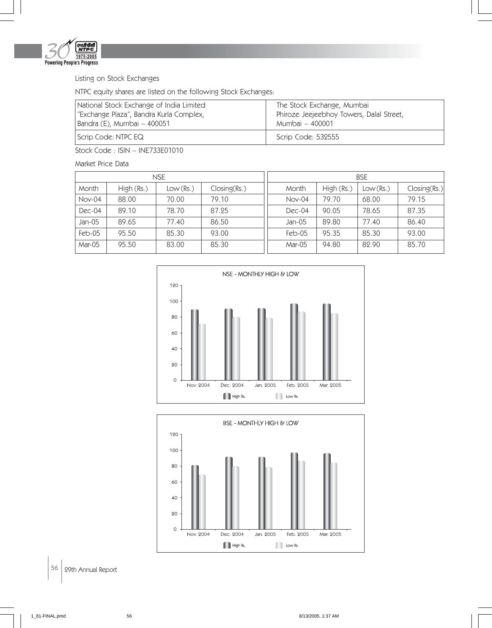

# Listing on Stock Exchanges

NTPC equity shares are listed on the following Stock Exchanges:

| National Stock Exchange of India Limited | The Stock Exchange, Mumbai               |
|------------------------------------------|------------------------------------------|
| "Exchange Plaza", Bandra Kurla Complex,  | Phiroze Jeejeebhoy Towers, Dalal Street, |
| Bandra (E), Mumbai – 400051              | Mumbai – 400001                          |
| Scrip Code: NTPC EQ                      | Scrip Code: 532555                       |

Stock Code : ISIN – INE733E01010

Market Price Data

|          |            | <b>NSE</b> |              |  |          |            | <b>BSE</b> |              |
|----------|------------|------------|--------------|--|----------|------------|------------|--------------|
| Month    | High (Rs.) | Low(Rs.)   | Closing(Rs.) |  | Month    | High (Rs.) | Low(Rs.)   | Closing(Rs.) |
| Nov-04   | 88.00      | 70.00      | 79.10        |  | Nov-04   | 79.70      | 68.00      | 79.15        |
| Dec-04   | 89.10      | 78.70      | 87.25        |  | $Dec-04$ | 90.05      | 78.65      | 87.35        |
| Jan-05   | 89.65      | 77.40      | 86.50        |  | $Jan-05$ | 89.80      | 77.40      | 86.40        |
| $Feb-05$ | 95.50      | 85.30      | 93.00        |  | $Feb-05$ | 95.35      | 85.30      | 93.00        |
| Mar-05   | 95.50      | 83.00      | 85.30        |  | Mar-05   | 94.80      | 82.90      | 85.70        |



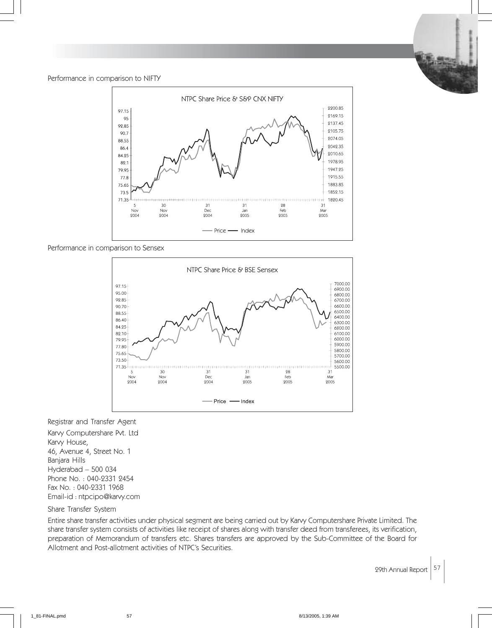#### Performance in comparison to NIFTY



Performance in comparison to Sensex



#### Registrar and Transfer Agent

Karvy Computershare Pvt. Ltd Karvy House, 46, Avenue 4, Street No. 1 Banjara Hills Hyderabad – 500 034 Phone No. : 040-2331 2454 Fax No. : 040-2331 1968 Email-id : ntpcipo@karvy.com

## Share Transfer System

Entire share transfer activities under physical segment are being carried out by Karvy Computershare Private Limited. The share transfer system consists of activities like receipt of shares along with transfer deed from transferees, its verification, preparation of Memorandum of transfers etc. Shares transfers are approved by the Sub-Committee of the Board for Allotment and Post-allotment activities of NTPC's Securities.

29th Annual Report  $57$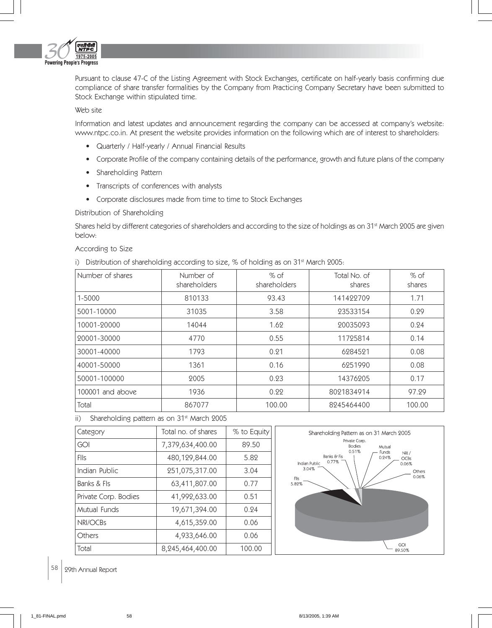

Pursuant to clause 47-C of the Listing Agreement with Stock Exchanges, certificate on half-yearly basis confirming due compliance of share transfer formalities by the Company from Practicing Company Secretary have been submitted to Stock Exchange within stipulated time.

## Web site

Information and latest updates and announcement regarding the company can be accessed at company's website: www.ntpc.co.in. At present the website provides information on the following which are of interest to shareholders:

- Quarterly / Half-yearly / Annual Financial Results
- Corporate Profile of the company containing details of the performance, growth and future plans of the company
- Shareholding Pattern
- Transcripts of conferences with analysts
- Corporate disclosures made from time to time to Stock Exchanges

### Distribution of Shareholding

Shares held by different categories of shareholders and according to the size of holdings as on 31<sup>st</sup> March 2005 are given below:

#### According to Size

i) Distribution of shareholding according to size,  $%$  of holding as on 31 $<sup>st</sup>$  March 2005:</sup>

| Number of shares | Number of<br>shareholders | $%$ of<br>shareholders | Total No. of<br>shares | $%$ of<br>shares |
|------------------|---------------------------|------------------------|------------------------|------------------|
| 1-5000           | 810133                    | 93.43                  | 141422709              | 1.71             |
| 5001-10000       | 31035                     | 3.58                   | 23533154               | 0.29             |
| 10001-20000      | 14044                     | 1.62                   | 20035093               | 0.24             |
| 20001-30000      | 4770                      | 0.55                   | 11725814               | 0.14             |
| 30001-40000      | 1793                      | 0.21                   | 6284521                | 0.08             |
| 40001-50000      | 1361                      | 0.16                   | 6251990                | 0.08             |
| 50001-100000     | 2005                      | 0.23                   | 14376205               | 0.17             |
| 100001 and above | 1936                      | 0.22                   | 8021834914             | 97.29            |
| Total            | 867077                    | 100.00                 | 8245464400             | 100.00           |

# ii) Shareholding pattern as on 31<sup>st</sup> March 2005

| Category             | Total no. of shares | % to Equity |
|----------------------|---------------------|-------------|
| GOI                  | 7,379,634,400.00    | 89.50       |
| Flls                 | 480,129,844.00      | 5.82        |
| Indian Public        | 251,075,317.00      | 3.04        |
| Banks & Fls          | 63,411,807.00       | 0.77        |
| Private Corp. Bodies | 41,992,633.00       | 0.51        |
| Mutual Funds         | 19,671,394.00       | 0.24        |
| NRI/OCBs             | 4,615,359.00        | 0.06        |
| Others               | 4,933,646.00        | 0.06        |
| Total                | 8,245,464,400.00    | 100.00      |



58 99th Annual Report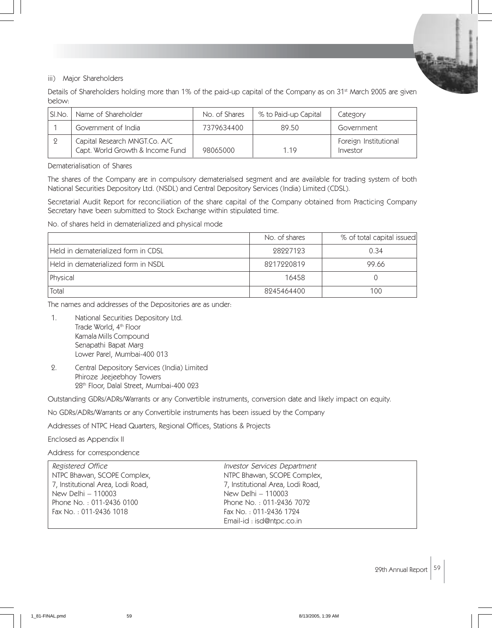## iii) Major Shareholders

Details of Shareholders holding more than 1% of the paid-up capital of the Company as on 31<sup>st</sup> March 2005 are given below:

| SI.No. | Name of Shareholder                                               | No. of Shares | % to Paid-up Capital | Category                          |
|--------|-------------------------------------------------------------------|---------------|----------------------|-----------------------------------|
|        | Government of India                                               | 7379634400    | 89.50                | Government                        |
|        | Capital Research MNGT.Co. A/C<br>Capt. World Growth & Income Fund | 98065000      | 1 1 9                | Foreign Institutional<br>Investor |

Dematerialisation of Shares

The shares of the Company are in compulsory dematerialsed segment and are available for trading system of both National Securities Depository Ltd. (NSDL) and Central Depository Services (India) Limited (CDSL).

Secretarial Audit Report for reconciliation of the share capital of the Company obtained from Practicing Company Secretary have been submitted to Stock Exchange within stipulated time.

No. of shares held in dematerialized and physical mode

|                                     | No. of shares | % of total capital issued |
|-------------------------------------|---------------|---------------------------|
| Held in dematerialized form in CDSL | 98997193      | 0.34                      |
| Held in dematerialized form in NSDL | 8217220819    | 99.66                     |
| Physical                            | 16458         |                           |
| Total                               | 8245464400    | 100                       |

The names and addresses of the Depositories are as under:

- 1. National Securities Depository Ltd. Trade World, 4<sup>th</sup> Floor Kamala Mills Compound Senapathi Bapat Marg Lower Parel, Mumbai-400 013
- 2. Central Depository Services (India) Limited Phiroze Jeejeebhoy Towers 28<sup>th</sup> Floor, Dalal Street, Mumbai-400 023

Outstanding GDRs/ADRs/Warrants or any Convertible instruments, conversion date and likely impact on equity.

No GDRs/ADRs/Warrants or any Convertible instruments has been issued by the Company

Addresses of NTPC Head Quarters, Regional Offices, Stations & Projects

### Enclosed as Appendix II

Address for correspondence

| Registered Office                 | <b>Investor Services Department</b> |  |
|-----------------------------------|-------------------------------------|--|
| NTPC Bhawan, SCOPE Complex,       | NTPC Bhawan, SCOPE Complex,         |  |
| 7, Institutional Area, Lodi Road, | 7, Institutional Area, Lodi Road,   |  |
| New Delhi – 110003                | New Delhi - 110003                  |  |
| Phone No.: 011-2436 0100          | Phone No.: 011-2436 7072            |  |
| Fax No.: 011-2436 1018            | Fax No.: 011-2436 1724              |  |
|                                   | Email-id: isd@ntpc.co.in            |  |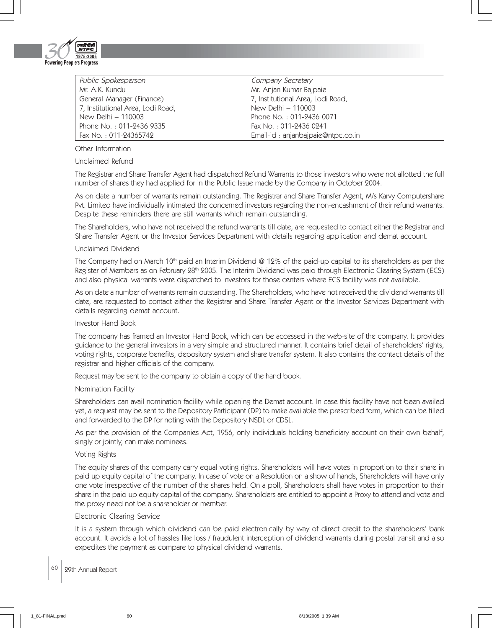

Public Spokesperson **Company Secretary** Mr. A.K. Kundu Mr. Anjan Kumar Bajpaie General Manager (Finance) 7, Institutional Area, Lodi Road, 7, Institutional Area, Lodi Road, New Delhi – 110003 New Delhi – 110003 Phone No. : 011-2436 0071 Phone No. : 011-2436 9335 Fax No. : 011-2436 0241<br>Fax No. : 011-24365742 Fax Fax Rose Email-id : anianbaipaie@

Email-id : anjanbajpaie@ntpc.co.in

Other Information

Unclaimed Refund

The Registrar and Share Transfer Agent had dispatched Refund Warrants to those investors who were not allotted the full number of shares they had applied for in the Public Issue made by the Company in October 2004.

As on date a number of warrants remain outstanding. The Registrar and Share Transfer Agent, M/s Karvy Computershare Pvt. Limited have individually intimated the concerned investors regarding the non-encashment of their refund warrants. Despite these reminders there are still warrants which remain outstanding.

The Shareholders, who have not received the refund warrants till date, are requested to contact either the Registrar and Share Transfer Agent or the Investor Services Department with details regarding application and demat account.

### Unclaimed Dividend

The Company had on March 10<sup>th</sup> paid an Interim Dividend @ 12% of the paid-up capital to its shareholders as per the Register of Members as on February 28<sup>th</sup> 2005. The Interim Dividend was paid through Electronic Clearing System (ECS) and also physical warrants were dispatched to investors for those centers where ECS facility was not available.

As on date a number of warrants remain outstanding. The Shareholders, who have not received the dividend warrants till date, are requested to contact either the Registrar and Share Transfer Agent or the Investor Services Department with details regarding demat account.

## Investor Hand Book

The company has framed an Investor Hand Book, which can be accessed in the web-site of the company. It provides guidance to the general investors in a very simple and structured manner. It contains brief detail of shareholders' rights, voting rights, corporate benefits, depository system and share transfer system. It also contains the contact details of the registrar and higher officials of the company.

Request may be sent to the company to obtain a copy of the hand book.

#### Nomination Facility

Shareholders can avail nomination facility while opening the Demat account. In case this facility have not been availed yet, a request may be sent to the Depository Participant (DP) to make available the prescribed form, which can be filled and forwarded to the DP for noting with the Depository NSDL or CDSL.

As per the provision of the Companies Act, 1956, only individuals holding beneficiary account on their own behalf, singly or jointly, can make nominees.

### Voting Rights

The equity shares of the company carry equal voting rights. Shareholders will have votes in proportion to their share in paid up equity capital of the company. In case of vote on a Resolution on a show of hands, Shareholders will have only one vote irrespective of the number of the shares held. On a poll, Shareholders shall have votes in proportion to their share in the paid up equity capital of the company. Shareholders are entitled to appoint a Proxy to attend and vote and the proxy need not be a shareholder or member.

#### Electronic Clearing Service

It is a system through which dividend can be paid electronically by way of direct credit to the shareholders' bank account. It avoids a lot of hassles like loss / fraudulent interception of dividend warrants during postal transit and also expedites the payment as compare to physical dividend warrants.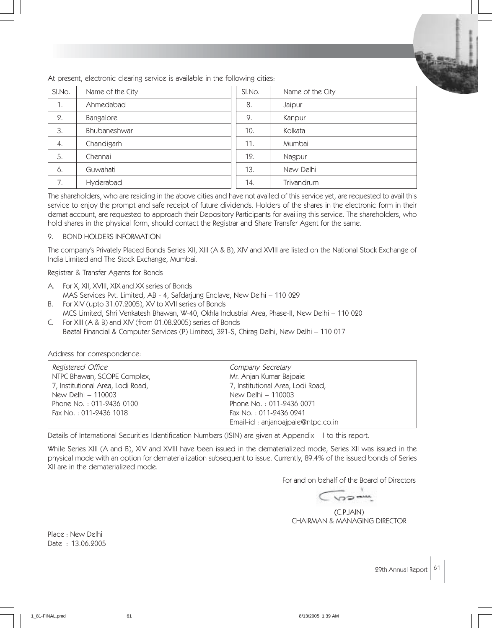

At present, electronic clearing service is available in the following cities:

| SI.No.           | Name of the City | SI.No. | Name of the City |
|------------------|------------------|--------|------------------|
| 1.               | Ahmedabad        | 8.     | Jaipur           |
| 2.               | Bangalore        | 9.     | Kanpur           |
| 3.               | Bhubaneshwar     | 10.    | Kolkata          |
| $\overline{4}$ . | Chandigarh       | 11.    | Mumbai           |
| 5.               | Chennai          | 12.    | Nagpur           |
| 6.               | Guwahati         | 13.    | New Delhi        |
|                  | Hyderabad        | 14.    | Trivandrum       |

The shareholders, who are residing in the above cities and have not availed of this service yet, are requested to avail this service to enjoy the prompt and safe receipt of future dividends. Holders of the shares in the electronic form in their demat account, are requested to approach their Depository Participants for availing this service. The shareholders, who hold shares in the physical form, should contact the Registrar and Share Transfer Agent for the same.

### 9. BOND HOLDERS INFORMATION

The company's Privately Placed Bonds Series XII, XIII (A & B), XIV and XVIII are listed on the National Stock Exchange of India Limited and The Stock Exchange, Mumbai.

Registrar & Transfer Agents for Bonds

- A. For X, XII, XVIII, XIX and XX series of Bonds MAS Services Pvt. Limited, AB - 4, Safdarjung Enclave, New Delhi – 110 029
- B. For XIV (upto 31.07.2005), XV to XVII series of Bonds MCS Limited, Shri Venkatesh Bhawan, W-40, Okhla Industrial Area, Phase-II, New Delhi – 110 020
- C. For XIII (A & B) and XIV (from 01.08.2005) series of Bonds Beetal Financial & Computer Services (P) Limited, 321-S, Chirag Delhi, New Delhi – 110 017

Address for correspondence:

| Registered Office                 | Company Secretary                 |
|-----------------------------------|-----------------------------------|
| NTPC Bhawan, SCOPE Complex,       | Mr. Anjan Kumar Bajpaie           |
| 7, Institutional Area, Lodi Road, | 7, Institutional Area, Lodi Road, |
| New Delhi - 110003                | New Delhi - 110003                |
| Phone No.: 011-2436 0100          | Phone No.: 011-2436 0071          |
| Fax No.: 011-2436 1018            | Fax No.: 011-2436 0241            |
|                                   | Email-id: anjanbajpaie@ntpc.co.in |

Details of International Securities Identification Numbers (ISIN) are given at Appendix – I to this report.

While Series XIII (A and B), XIV and XVIII have been issued in the dematerialized mode, Series XII was issued in the physical mode with an option for dematerialization subsequent to issue. Currently, 89.4% of the issued bonds of Series XII are in the dematerialized mode.

For and on behalf of the Board of Directors

CVOR

(C.P.JAIN) CHAIRMAN & MANAGING DIRECTOR

Place : New Delhi Date : 13.06.2005

29th Annual Report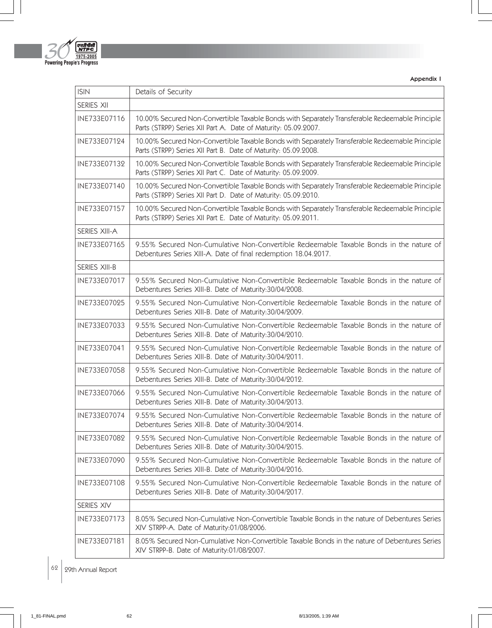

Appendix I

| <b>ISIN</b>          | Details of Security                                                                                                                                              |
|----------------------|------------------------------------------------------------------------------------------------------------------------------------------------------------------|
| SERIES XII           |                                                                                                                                                                  |
| INE733E07116         | 10.00% Secured Non-Convertible Taxable Bonds with Separately Transferable Redeemable Principle<br>Parts (STRPP) Series XII Part A. Date of Maturity: 05.09.2007. |
| INE733E07124         | 10.00% Secured Non-Convertible Taxable Bonds with Separately Transferable Redeemable Principle<br>Parts (STRPP) Series XII Part B. Date of Maturity: 05.09.2008. |
| INE733E07132         | 10.00% Secured Non-Convertible Taxable Bonds with Separately Transferable Redeemable Principle<br>Parts (STRPP) Series XII Part C. Date of Maturity: 05.09.2009. |
| INE733E07140         | 10.00% Secured Non-Convertible Taxable Bonds with Separately Transferable Redeemable Principle<br>Parts (STRPP) Series XII Part D. Date of Maturity: 05.09.2010. |
| INE733E07157         | 10.00% Secured Non-Convertible Taxable Bonds with Separately Transferable Redeemable Principle<br>Parts (STRPP) Series XII Part E. Date of Maturity: 05.09.2011. |
| <b>SERIES XIII-A</b> |                                                                                                                                                                  |
| INE733E07165         | 9.55% Secured Non-Cumulative Non-Convertible Redeemable Taxable Bonds in the nature of<br>Debentures Series XIII-A. Date of final redemption 18.04.2017.         |
| <b>SERIES XIII-B</b> |                                                                                                                                                                  |
| INE733E07017         | 9.55% Secured Non-Cumulative Non-Convertible Redeemable Taxable Bonds in the nature of<br>Debentures Series XIII-B. Date of Maturity:30/04/2008.                 |
| INE733E07025         | 9.55% Secured Non-Cumulative Non-Convertible Redeemable Taxable Bonds in the nature of<br>Debentures Series XIII-B. Date of Maturity:30/04/2009.                 |
| INE733E07033         | 9.55% Secured Non-Cumulative Non-Convertible Redeemable Taxable Bonds in the nature of<br>Debentures Series XIII-B. Date of Maturity:30/04/2010.                 |
| INE733E07041         | 9.55% Secured Non-Cumulative Non-Convertible Redeemable Taxable Bonds in the nature of<br>Debentures Series XIII-B. Date of Maturity:30/04/2011.                 |
| INE733E07058         | 9.55% Secured Non-Cumulative Non-Convertible Redeemable Taxable Bonds in the nature of<br>Debentures Series XIII-B. Date of Maturity:30/04/2012.                 |
| INE733E07066         | 9.55% Secured Non-Cumulative Non-Convertible Redeemable Taxable Bonds in the nature of<br>Debentures Series XIII-B. Date of Maturity:30/04/2013.                 |
| INE733E07074         | 9.55% Secured Non-Cumulative Non-Convertible Redeemable Taxable Bonds in the nature of<br>Debentures Series XIII-B. Date of Maturity:30/04/2014                  |
| INE733E07082         | 9.55% Secured Non-Cumulative Non-Convertible Redeemable Taxable Bonds in the nature of<br>Debentures Series XIII-B. Date of Maturity:30/04/2015.                 |
| INE733E07090         | 9.55% Secured Non-Cumulative Non-Convertible Redeemable Taxable Bonds in the nature of<br>Debentures Series XIII-B. Date of Maturity:30/04/2016.                 |
| INE733E07108         | 9.55% Secured Non-Cumulative Non-Convertible Redeemable Taxable Bonds in the nature of<br>Debentures Series XIII-B. Date of Maturity:30/04/2017.                 |
| SERIES XIV           |                                                                                                                                                                  |
| INE733E07173         | 8.05% Secured Non-Cumulative Non-Convertible Taxable Bonds in the nature of Debentures Series<br>XIV STRPP-A. Date of Maturity:01/08/2006.                       |
| INE733E07181         | 8.05% Secured Non-Cumulative Non-Convertible Taxable Bonds in the nature of Debentures Series<br>XIV STRPP-B. Date of Maturity:01/08/2007.                       |

 $\Big| 62 \Big| 29$ th Annual Report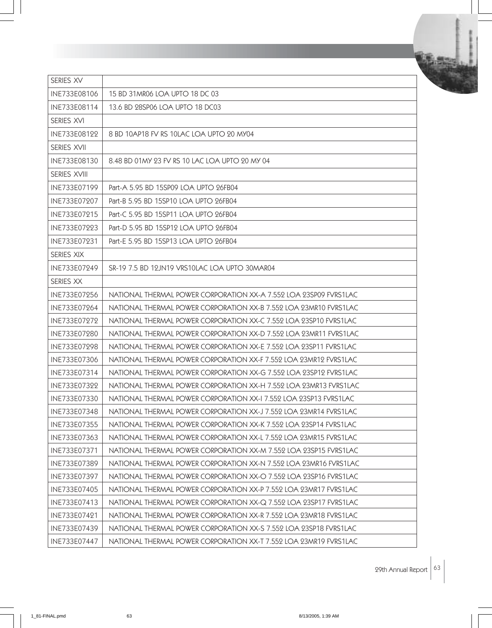| SERIES XV    |                                                                   |
|--------------|-------------------------------------------------------------------|
| INE733E08106 | 15 BD 31MR06 LOA UPTO 18 DC 03                                    |
| INE733E08114 | 13.6 BD 28SP06 LOA UPTO 18 DC03                                   |
| SERIES XVI   |                                                                   |
| INE733E08122 | 8 BD 10AP18 FV RS 10LAC LOA UPTO 20 MY04                          |
| SERIES XVII  |                                                                   |
| INE733E08130 | 8.48 BD 01MY 23 FV RS 10 LAC LOA UPTO 20 MY 04                    |
| SERIES XVIII |                                                                   |
| INE733E07199 | Part-A 5.95 BD 15SP09 LOA UPTO 26FB04                             |
| INE733E07207 | Part-B 5.95 BD 15SP10 LOA UPTO 26FB04                             |
| INE733E07215 | Part-C 5.95 BD 15SP11 LOA UPTO 26FB04                             |
| INE733E07223 | Part-D 5.95 BD 15SP12 LOA UPTO 26FB04                             |
| INE733E07231 | Part-E 5.95 BD 15SP13 LOA UPTO 26FB04                             |
| SERIES XIX   |                                                                   |
| INE733E07249 | SR-19 7.5 BD 12JN19 VRS10LAC LOA UPTO 30MAR04                     |
| SERIES XX    |                                                                   |
| INE733E07256 | NATIONAL THERMAL POWER CORPORATION XX-A 7.552 LOA 23SP09 FVRS1LAC |
| INE733E07264 | NATIONAL THERMAL POWER CORPORATION XX-B 7.552 LOA 23MR10 FVRS1LAC |
| INE733E07272 | NATIONAL THERMAL POWER CORPORATION XX-C 7.552 LOA 23SP10 FVRS1LAC |
| INE733E07280 | NATIONAL THERMAL POWER CORPORATION XX-D 7.552 LOA 23MR11 FVRS1LAC |
| INE733E07298 | NATIONAL THERMAL POWER CORPORATION XX-E 7.552 LOA 23SP11 FVRS1LAC |
| INE733E07306 | NATIONAL THERMAL POWER CORPORATION XX-F 7.552 LOA 23MR12 FVRS1LAC |
| INE733E07314 | NATIONAL THERMAL POWER CORPORATION XX-G 7.552 LOA 23SP12 FVRS1LAC |
| INE733E07322 | NATIONAL THERMAL POWER CORPORATION XX-H 7.552 LOA 23MR13 FVRS1LAC |
| INE733E07330 | NATIONAL THERMAL POWER CORPORATION XX-I 7.552 LOA 23SP13 FVRS1LAC |
| INE733E07348 | NATIONAL THERMAL POWER CORPORATION XX-J 7.552 LOA 23MR14 FVRS1LAC |
| INE733E07355 | NATIONAL THERMAL POWER CORPORATION XX-K 7.552 LOA 23SP14 FVRS1LAC |
| INE733E07363 | NATIONAL THERMAL POWER CORPORATION XX-L 7.552 LOA 23MR15 FVRS1LAC |
| INE733E07371 | NATIONAL THERMAL POWER CORPORATION XX-M 7.552 LOA 23SP15 FVRS1LAC |
| INE733E07389 | NATIONAL THERMAL POWER CORPORATION XX-N 7.552 LOA 23MR16 FVRS1LAC |
| INE733E07397 | NATIONAL THERMAL POWER CORPORATION XX-O 7.552 LOA 23SP16 FVRS1LAC |
| INE733E07405 | NATIONAL THERMAL POWER CORPORATION XX-P 7.552 LOA 23MR17 FVRS1LAC |
| INE733E07413 | NATIONAL THERMAL POWER CORPORATION XX-Q 7.552 LOA 23SP17 FVRS1LAC |
| INE733E07421 | NATIONAL THERMAL POWER CORPORATION XX-R 7.552 LOA 23MR18 FVRS1LAC |
| INE733E07439 | NATIONAL THERMAL POWER CORPORATION XX-S 7.552 LOA 23SP18 FVRS1LAC |
| INE733E07447 | NATIONAL THERMAL POWER CORPORATION XX-T 7.552 LOA 23MR19 FVRS1LAC |

29th Annual Report  $\Big|$  63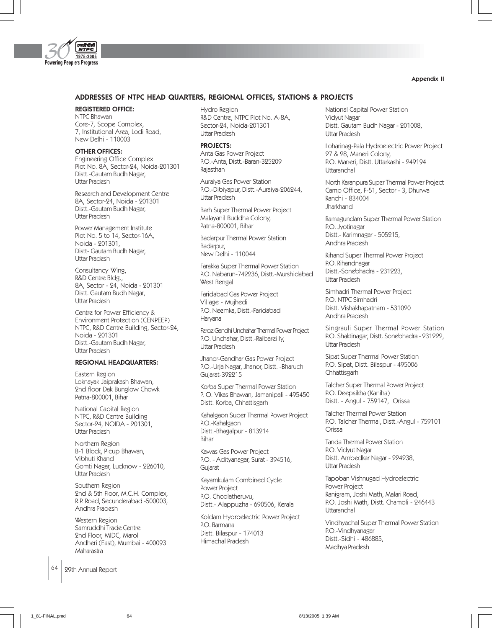

#### Appendix II

### ADDRESSES OF NTPC HEAD QUARTERS, REGIONAL OFFICES, STATIONS & PROJECTS

## REGISTERED OFFICE:

NTPC Bhawan Core-7, Scope Complex, 7, Institutional Area, Lodi Road, New Delhi - 110003

#### OTHER OFFICES:

Engineering Office Complex Plot No. 8A, Sector-24, Noida-201301 Distt.-Gautam Budh Nagar, Uttar Pradesh

Research and Development Centre 8A, Sector-24, Noida - 201301 Distt.-Gautam Budh Nagar, Uttar Pradesh

Power Management Institute Plot No. 5 to 14, Sector-16A, Noida - 201301, Distt- Gautam Budh Nagar, Uttar Pradesh

Consultancy Wing, R&D Centre Bldg., 8A, Sector - 24, Noida - 201301 Distt. Gautam Budh Nagar, Uttar Pradesh

Centre for Power Efficiency & Environment Protection (CENPEEP) NTPC, R&D Centre Building, Sector-24, Noida - 201301 Distt.-Gautam Budh Nagar, Uttar Pradesh

#### REGIONAL HEADQUARTERS:

Eastern Region Loknayak Jaiprakash Bhawan, 2nd floor Dak Bunglow Chowk Patna-800001, Bihar

National Capital Region NTPC, R&D Centre Building Sector-24, NOIDA - 201301, Uttar Pradesh

Northern Region B-1 Block, Picup Bhawan, Vibhuti Khand Gomti Nagar, Lucknow - 226010, Uttar Pradesh

Southern Region 2nd & 5th Floor, M.C.H. Complex, R.P. Road, Secunderabad -500003, Andhra Pradesh

Western Region Samruddhi Trade Centre 2nd Floor, MIDC, Marol Andheri (East), Mumbai - 400093 Maharastra

64 | 29th Annual Report

Hydro Region R&D Centre, NTPC Plot No. A-8A, Sector-24, Noida-201301 Uttar Pradesh

#### PROJECTS:

Anta Gas Power Project P.O.-Anta, Distt.-Baran-325209 Rajasthan

Auraiya Gas Power Station P.O.-Dibiyapur, Distt.-Auraiya-206244, Uttar Pradesh

Barh Super Thermal Power Project Malayanil Buddha Colony, Patna-800001, Bihar

Badarpur Thermal Power Station Badarpur, New Delhi - 110044

Farakka Super Thermal Power Station P.O. Nabarun-742236, Distt.-Murshidabad West Bengal

Faridabad Gas Power Project Village - Mujhedi P.O. Neemka, Distt.-Faridabad Haryana

Feroz Gandhi Unchahar Thermal Power Project P.O. Unchahar, Distt.-Raibareilly, Uttar Pradesh

Jhanor-Gandhar Gas Power Project P.O.-Urja Nagar, Jhanor, Distt. -Bharuch Gujarat-392215

Korba Super Thermal Power Station P. O. Vikas Bhawan, Jamanipali - 495450 Distt. Korba, Chhattisgarh

Kahalgaon Super Thermal Power Project P.O.-Kahalgaon Distt.-Bhagalpur - 813214 Bihar

Kawas Gas Power Project P.O. - Adityanagar, Surat - 394516, Gujarat

Kayamkulam Combined Cycle Power Project P.O. Choolatheruvu, Distt.- Alappuzha - 690506, Kerala

Koldam Hydroelectric Power Project P.O. Barmana Distt. Bilaspur - 174013 Himachal Pradesh

National Capital Power Station Vidyut Nagar Distt. Gautam Budh Nagar - 201008, Uttar Pradesh

Loharinag-Pala Hydroelectric Power Project 27 & 28, Maneri Colony, P.O. Maneri, Distt. Uttarkashi - 249194 **Uttaranchal** 

North Karanpura Super Thermal Power Project Camp Office, F-51, Sector - 3, Dhurwa Ranchi - 834004 **Jharkhand** 

Ramagundam Super Thermal Power Station P.O. Jyotinagar Distt.- Karimnagar - 505215, Andhra Pradesh

Rihand Super Thermal Power Project P.O. Rihandnagar Distt.-Sonebhadra - 231223, Uttar Pradesh

Simhadri Thermal Power Project P.O. NTPC Simhadri Distt. Vishakhapatnam - 531020 Andhra Pradesh

Singrauli Super Thermal Power Station P.O. Shaktinagar, Distt. Sonebhadra - 231222, Uttar Pradesh

Sipat Super Thermal Power Station P.O. Sipat, Distt. Bilaspur - 495006 **Chhattisgarh** 

Talcher Super Thermal Power Project P.O. Deepsikha (Kaniha) Distt. - Angul - 759147, Orissa

Talcher Thermal Power Station P.O. Talcher Thermal, Distt.-Angul - 759101 Orissa

Tanda Thermal Power Station P.O. Vidyut Nagar Distt. Ambedkar Nagar - 224238, Uttar Pradesh

Tapoban Vishnugad Hydroelectric Power Project Ranigram, Joshi Math, Malari Road, P.O. Joshi Math, Distt. Chamoli - 246443 **Uttaranchal** 

Vindhyachal Super Thermal Power Station P.O.-Vindhyanagar Distt.-Sidhi - 486885, Madhya Pradesh